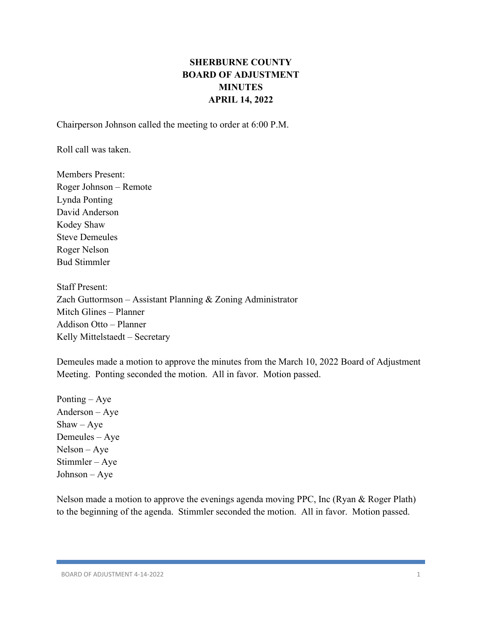# **SHERBURNE COUNTY BOARD OF ADJUSTMENT MINUTES APRIL 14, 2022**

Chairperson Johnson called the meeting to order at 6:00 P.M.

Roll call was taken.

Members Present: Roger Johnson – Remote Lynda Ponting David Anderson Kodey Shaw Steve Demeules Roger Nelson Bud Stimmler

Staff Present: Zach Guttormson – Assistant Planning & Zoning Administrator Mitch Glines – Planner Addison Otto – Planner Kelly Mittelstaedt – Secretary

Demeules made a motion to approve the minutes from the March 10, 2022 Board of Adjustment Meeting. Ponting seconded the motion. All in favor. Motion passed.

Ponting – Aye Anderson – Aye  $Shaw - Aye$ Demeules – Aye Nelson – Aye Stimmler – Aye Johnson – Aye

Nelson made a motion to approve the evenings agenda moving PPC, Inc (Ryan & Roger Plath) to the beginning of the agenda. Stimmler seconded the motion. All in favor. Motion passed.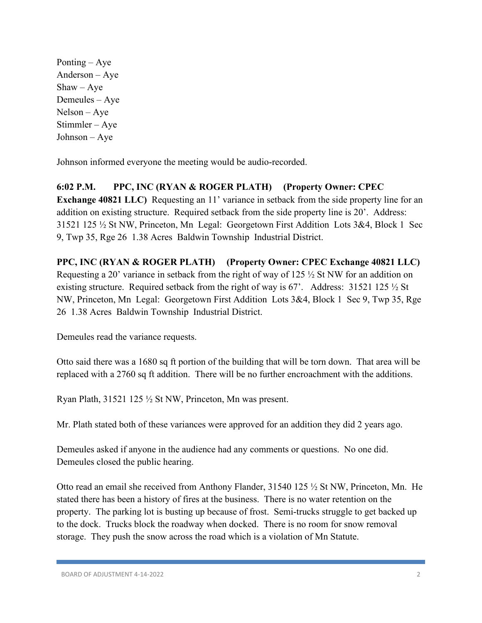Ponting – Aye Anderson – Aye  $Shaw - Aye$ Demeules – Aye Nelson – Aye Stimmler – Aye Johnson – Aye

Johnson informed everyone the meeting would be audio-recorded.

## **6:02 P.M. PPC, INC (RYAN & ROGER PLATH) (Property Owner: CPEC**

**Exchange 40821 LLC)** Requesting an 11' variance in setback from the side property line for an addition on existing structure. Required setback from the side property line is 20'. Address: 31521 125 ½ St NW, Princeton, Mn Legal: Georgetown First Addition Lots 3&4, Block 1 Sec 9, Twp 35, Rge 26 1.38 Acres Baldwin Township Industrial District.

## **PPC, INC (RYAN & ROGER PLATH) (Property Owner: CPEC Exchange 40821 LLC)**

Requesting a 20' variance in setback from the right of way of 125 ½ St NW for an addition on existing structure. Required setback from the right of way is 67'. Address: 31521 125 ½ St NW, Princeton, Mn Legal: Georgetown First Addition Lots 3&4, Block 1 Sec 9, Twp 35, Rge 26 1.38 Acres Baldwin Township Industrial District.

Demeules read the variance requests.

Otto said there was a 1680 sq ft portion of the building that will be torn down. That area will be replaced with a 2760 sq ft addition. There will be no further encroachment with the additions.

Ryan Plath, 31521 125 ½ St NW, Princeton, Mn was present.

Mr. Plath stated both of these variances were approved for an addition they did 2 years ago.

Demeules asked if anyone in the audience had any comments or questions. No one did. Demeules closed the public hearing.

Otto read an email she received from Anthony Flander, 31540 125 ½ St NW, Princeton, Mn. He stated there has been a history of fires at the business. There is no water retention on the property. The parking lot is busting up because of frost. Semi-trucks struggle to get backed up to the dock. Trucks block the roadway when docked. There is no room for snow removal storage. They push the snow across the road which is a violation of Mn Statute.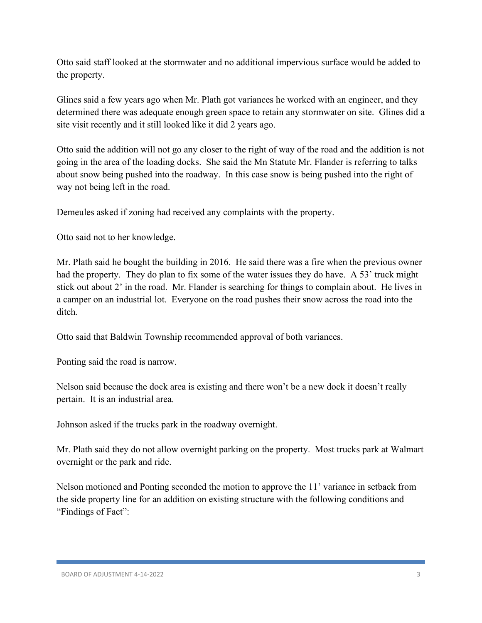Otto said staff looked at the stormwater and no additional impervious surface would be added to the property.

Glines said a few years ago when Mr. Plath got variances he worked with an engineer, and they determined there was adequate enough green space to retain any stormwater on site. Glines did a site visit recently and it still looked like it did 2 years ago.

Otto said the addition will not go any closer to the right of way of the road and the addition is not going in the area of the loading docks. She said the Mn Statute Mr. Flander is referring to talks about snow being pushed into the roadway. In this case snow is being pushed into the right of way not being left in the road.

Demeules asked if zoning had received any complaints with the property.

Otto said not to her knowledge.

Mr. Plath said he bought the building in 2016. He said there was a fire when the previous owner had the property. They do plan to fix some of the water issues they do have. A 53' truck might stick out about 2' in the road. Mr. Flander is searching for things to complain about. He lives in a camper on an industrial lot. Everyone on the road pushes their snow across the road into the ditch.

Otto said that Baldwin Township recommended approval of both variances.

Ponting said the road is narrow.

Nelson said because the dock area is existing and there won't be a new dock it doesn't really pertain. It is an industrial area.

Johnson asked if the trucks park in the roadway overnight.

Mr. Plath said they do not allow overnight parking on the property. Most trucks park at Walmart overnight or the park and ride.

Nelson motioned and Ponting seconded the motion to approve the 11' variance in setback from the side property line for an addition on existing structure with the following conditions and "Findings of Fact":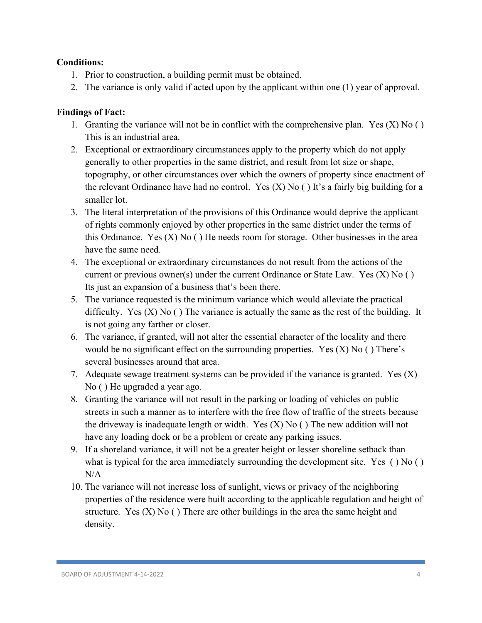#### **Conditions:**

- 1. Prior to construction, a building permit must be obtained.
- 2. The variance is only valid if acted upon by the applicant within one (1) year of approval.

- 1. Granting the variance will not be in conflict with the comprehensive plan. Yes  $(X)$  No  $( )$ This is an industrial area.
- 2. Exceptional or extraordinary circumstances apply to the property which do not apply generally to other properties in the same district, and result from lot size or shape, topography, or other circumstances over which the owners of property since enactment of the relevant Ordinance have had no control. Yes  $(X)$  No () It's a fairly big building for a smaller lot.
- 3. The literal interpretation of the provisions of this Ordinance would deprive the applicant of rights commonly enjoyed by other properties in the same district under the terms of this Ordinance. Yes  $(X)$  No  $( )$  He needs room for storage. Other businesses in the area have the same need.
- 4. The exceptional or extraordinary circumstances do not result from the actions of the current or previous owner(s) under the current Ordinance or State Law. Yes  $(X)$  No  $( )$ Its just an expansion of a business that's been there.
- 5. The variance requested is the minimum variance which would alleviate the practical difficulty. Yes  $(X)$  No  $( )$  The variance is actually the same as the rest of the building. It is not going any farther or closer.
- 6. The variance, if granted, will not alter the essential character of the locality and there would be no significant effect on the surrounding properties. Yes  $(X)$  No  $( )$  There's several businesses around that area.
- 7. Adequate sewage treatment systems can be provided if the variance is granted. Yes  $(X)$ No ( ) He upgraded a year ago.
- 8. Granting the variance will not result in the parking or loading of vehicles on public streets in such a manner as to interfere with the free flow of traffic of the streets because the driveway is inadequate length or width. Yes  $(X)$  No  $($ ) The new addition will not have any loading dock or be a problem or create any parking issues.
- 9. If a shoreland variance, it will not be a greater height or lesser shoreline setback than what is typical for the area immediately surrounding the development site. Yes () No ()  $N/A$
- 10. The variance will not increase loss of sunlight, views or privacy of the neighboring properties of the residence were built according to the applicable regulation and height of structure. Yes  $(X)$  No  $( )$  There are other buildings in the area the same height and density.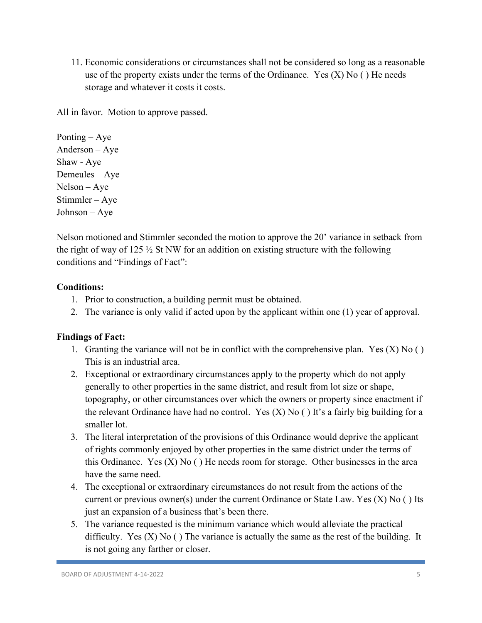11. Economic considerations or circumstances shall not be considered so long as a reasonable use of the property exists under the terms of the Ordinance. Yes  $(X)$  No  $( )$  He needs storage and whatever it costs it costs.

All in favor. Motion to approve passed.

Ponting – Aye Anderson – Aye Shaw - Aye Demeules – Aye Nelson – Aye Stimmler – Aye Johnson – Aye

Nelson motioned and Stimmler seconded the motion to approve the 20' variance in setback from the right of way of 125  $\frac{1}{2}$  St NW for an addition on existing structure with the following conditions and "Findings of Fact":

## **Conditions:**

- 1. Prior to construction, a building permit must be obtained.
- 2. The variance is only valid if acted upon by the applicant within one (1) year of approval.

- 1. Granting the variance will not be in conflict with the comprehensive plan. Yes  $(X)$  No  $( )$ This is an industrial area.
- 2. Exceptional or extraordinary circumstances apply to the property which do not apply generally to other properties in the same district, and result from lot size or shape, topography, or other circumstances over which the owners or property since enactment if the relevant Ordinance have had no control. Yes  $(X)$  No  $( )$  It's a fairly big building for a smaller lot.
- 3. The literal interpretation of the provisions of this Ordinance would deprive the applicant of rights commonly enjoyed by other properties in the same district under the terms of this Ordinance. Yes  $(X)$  No  $( )$  He needs room for storage. Other businesses in the area have the same need.
- 4. The exceptional or extraordinary circumstances do not result from the actions of the current or previous owner(s) under the current Ordinance or State Law. Yes (X) No ( ) Its just an expansion of a business that's been there.
- 5. The variance requested is the minimum variance which would alleviate the practical difficulty. Yes  $(X)$  No  $( )$  The variance is actually the same as the rest of the building. It is not going any farther or closer.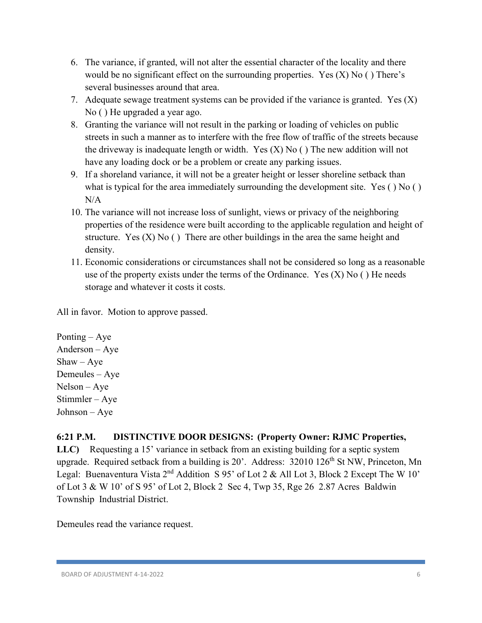- 6. The variance, if granted, will not alter the essential character of the locality and there would be no significant effect on the surrounding properties. Yes  $(X)$  No () There's several businesses around that area.
- 7. Adequate sewage treatment systems can be provided if the variance is granted. Yes  $(X)$ No ( ) He upgraded a year ago.
- 8. Granting the variance will not result in the parking or loading of vehicles on public streets in such a manner as to interfere with the free flow of traffic of the streets because the driveway is inadequate length or width. Yes  $(X)$  No  $($ ) The new addition will not have any loading dock or be a problem or create any parking issues.
- 9. If a shoreland variance, it will not be a greater height or lesser shoreline setback than what is typical for the area immediately surrounding the development site. Yes () No ()  $N/A$
- 10. The variance will not increase loss of sunlight, views or privacy of the neighboring properties of the residence were built according to the applicable regulation and height of structure. Yes  $(X)$  No  $( )$  There are other buildings in the area the same height and density.
- 11. Economic considerations or circumstances shall not be considered so long as a reasonable use of the property exists under the terms of the Ordinance. Yes  $(X)$  No  $( )$  He needs storage and whatever it costs it costs.

Ponting – Aye Anderson – Aye  $Shaw - Aye$ Demeules – Aye Nelson – Aye Stimmler – Aye Johnson – Aye

#### **6:21 P.M. DISTINCTIVE DOOR DESIGNS: (Property Owner: RJMC Properties,**

**LLC)** Requesting a 15' variance in setback from an existing building for a septic system upgrade. Required setback from a building is 20'. Address: 32010 126<sup>th</sup> St NW, Princeton, Mn Legal: Buenaventura Vista 2<sup>nd</sup> Addition S 95' of Lot 2 & All Lot 3, Block 2 Except The W 10' of Lot 3 & W 10' of S 95' of Lot 2, Block 2 Sec 4, Twp 35, Rge 26 2.87 Acres Baldwin Township Industrial District.

Demeules read the variance request.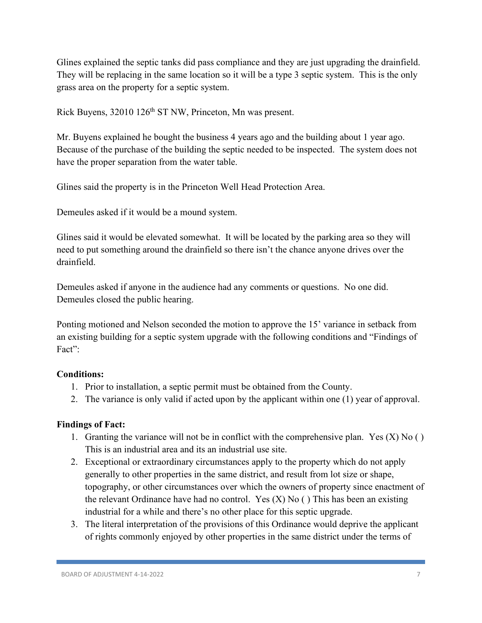Glines explained the septic tanks did pass compliance and they are just upgrading the drainfield. They will be replacing in the same location so it will be a type 3 septic system. This is the only grass area on the property for a septic system.

Rick Buyens, 32010 126<sup>th</sup> ST NW, Princeton, Mn was present.

Mr. Buyens explained he bought the business 4 years ago and the building about 1 year ago. Because of the purchase of the building the septic needed to be inspected. The system does not have the proper separation from the water table.

Glines said the property is in the Princeton Well Head Protection Area.

Demeules asked if it would be a mound system.

Glines said it would be elevated somewhat. It will be located by the parking area so they will need to put something around the drainfield so there isn't the chance anyone drives over the drainfield.

Demeules asked if anyone in the audience had any comments or questions. No one did. Demeules closed the public hearing.

Ponting motioned and Nelson seconded the motion to approve the 15' variance in setback from an existing building for a septic system upgrade with the following conditions and "Findings of Fact":

#### **Conditions:**

- 1. Prior to installation, a septic permit must be obtained from the County.
- 2. The variance is only valid if acted upon by the applicant within one (1) year of approval.

- 1. Granting the variance will not be in conflict with the comprehensive plan. Yes  $(X)$  No  $( )$ This is an industrial area and its an industrial use site.
- 2. Exceptional or extraordinary circumstances apply to the property which do not apply generally to other properties in the same district, and result from lot size or shape, topography, or other circumstances over which the owners of property since enactment of the relevant Ordinance have had no control. Yes  $(X)$  No  $($ ) This has been an existing industrial for a while and there's no other place for this septic upgrade.
- 3. The literal interpretation of the provisions of this Ordinance would deprive the applicant of rights commonly enjoyed by other properties in the same district under the terms of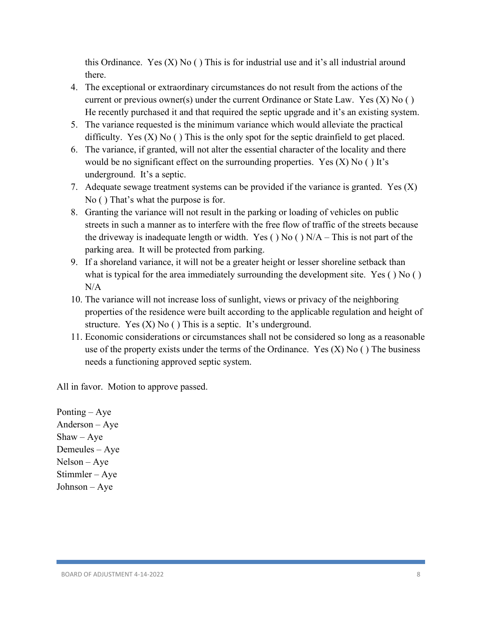this Ordinance. Yes  $(X)$  No  $( )$  This is for industrial use and it's all industrial around there.

- 4. The exceptional or extraordinary circumstances do not result from the actions of the current or previous owner(s) under the current Ordinance or State Law. Yes  $(X)$  No  $( )$ He recently purchased it and that required the septic upgrade and it's an existing system.
- 5. The variance requested is the minimum variance which would alleviate the practical difficulty. Yes  $(X)$  No  $( )$  This is the only spot for the septic drainfield to get placed.
- 6. The variance, if granted, will not alter the essential character of the locality and there would be no significant effect on the surrounding properties. Yes  $(X)$  No  $( )$  It's underground. It's a septic.
- 7. Adequate sewage treatment systems can be provided if the variance is granted. Yes  $(X)$ No ( ) That's what the purpose is for.
- 8. Granting the variance will not result in the parking or loading of vehicles on public streets in such a manner as to interfere with the free flow of traffic of the streets because the driveway is inadequate length or width. Yes ( $)$  No ( $)$  N/A – This is not part of the parking area. It will be protected from parking.
- 9. If a shoreland variance, it will not be a greater height or lesser shoreline setback than what is typical for the area immediately surrounding the development site. Yes ( ) No ( ) N/A
- 10. The variance will not increase loss of sunlight, views or privacy of the neighboring properties of the residence were built according to the applicable regulation and height of structure. Yes  $(X)$  No  $( )$  This is a septic. It's underground.
- 11. Economic considerations or circumstances shall not be considered so long as a reasonable use of the property exists under the terms of the Ordinance. Yes  $(X)$  No  $($   $)$  The business needs a functioning approved septic system.

All in favor. Motion to approve passed.

Ponting – Aye Anderson – Aye  $Shaw - Aye$ Demeules – Aye Nelson – Aye Stimmler – Aye Johnson – Aye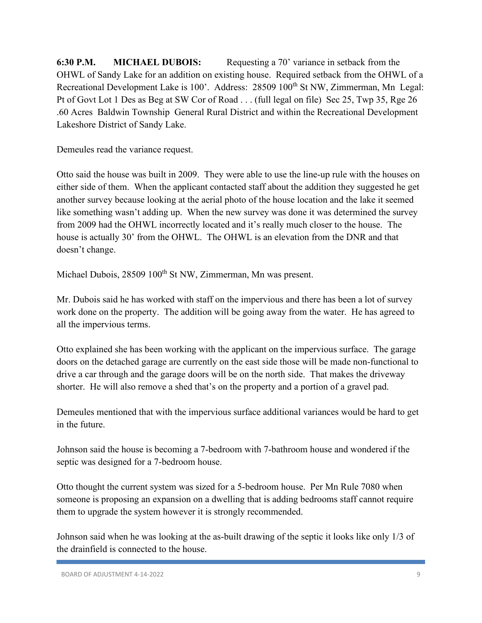**6:30 P.M. MICHAEL DUBOIS:** Requesting a 70' variance in setback from the OHWL of Sandy Lake for an addition on existing house. Required setback from the OHWL of a Recreational Development Lake is 100'. Address: 28509 100<sup>th</sup> St NW, Zimmerman, Mn Legal: Pt of Govt Lot 1 Des as Beg at SW Cor of Road . . . (full legal on file) Sec 25, Twp 35, Rge 26 .60 Acres Baldwin Township General Rural District and within the Recreational Development Lakeshore District of Sandy Lake.

Demeules read the variance request.

Otto said the house was built in 2009. They were able to use the line-up rule with the houses on either side of them. When the applicant contacted staff about the addition they suggested he get another survey because looking at the aerial photo of the house location and the lake it seemed like something wasn't adding up. When the new survey was done it was determined the survey from 2009 had the OHWL incorrectly located and it's really much closer to the house. The house is actually 30' from the OHWL. The OHWL is an elevation from the DNR and that doesn't change.

Michael Dubois, 28509 100<sup>th</sup> St NW, Zimmerman, Mn was present.

Mr. Dubois said he has worked with staff on the impervious and there has been a lot of survey work done on the property. The addition will be going away from the water. He has agreed to all the impervious terms.

Otto explained she has been working with the applicant on the impervious surface. The garage doors on the detached garage are currently on the east side those will be made non-functional to drive a car through and the garage doors will be on the north side. That makes the driveway shorter. He will also remove a shed that's on the property and a portion of a gravel pad.

Demeules mentioned that with the impervious surface additional variances would be hard to get in the future.

Johnson said the house is becoming a 7-bedroom with 7-bathroom house and wondered if the septic was designed for a 7-bedroom house.

Otto thought the current system was sized for a 5-bedroom house. Per Mn Rule 7080 when someone is proposing an expansion on a dwelling that is adding bedrooms staff cannot require them to upgrade the system however it is strongly recommended.

Johnson said when he was looking at the as-built drawing of the septic it looks like only 1/3 of the drainfield is connected to the house.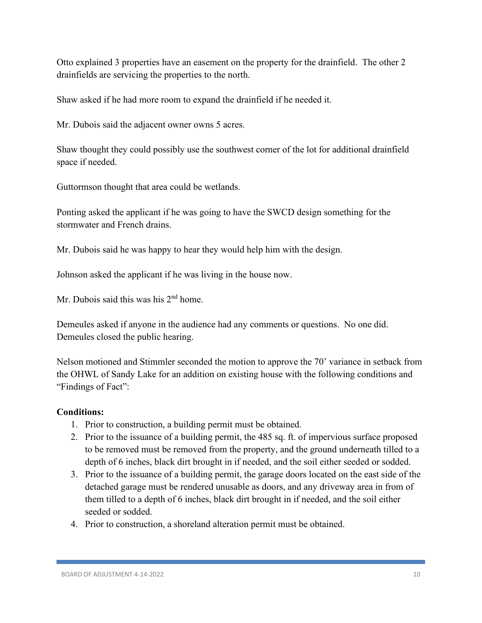Otto explained 3 properties have an easement on the property for the drainfield. The other 2 drainfields are servicing the properties to the north.

Shaw asked if he had more room to expand the drainfield if he needed it.

Mr. Dubois said the adjacent owner owns 5 acres.

Shaw thought they could possibly use the southwest corner of the lot for additional drainfield space if needed.

Guttormson thought that area could be wetlands.

Ponting asked the applicant if he was going to have the SWCD design something for the stormwater and French drains.

Mr. Dubois said he was happy to hear they would help him with the design.

Johnson asked the applicant if he was living in the house now.

Mr. Dubois said this was his  $2<sup>nd</sup>$  home.

Demeules asked if anyone in the audience had any comments or questions. No one did. Demeules closed the public hearing.

Nelson motioned and Stimmler seconded the motion to approve the 70' variance in setback from the OHWL of Sandy Lake for an addition on existing house with the following conditions and "Findings of Fact":

#### **Conditions:**

- 1. Prior to construction, a building permit must be obtained.
- 2. Prior to the issuance of a building permit, the 485 sq. ft. of impervious surface proposed to be removed must be removed from the property, and the ground underneath tilled to a depth of 6 inches, black dirt brought in if needed, and the soil either seeded or sodded.
- 3. Prior to the issuance of a building permit, the garage doors located on the east side of the detached garage must be rendered unusable as doors, and any driveway area in from of them tilled to a depth of 6 inches, black dirt brought in if needed, and the soil either seeded or sodded.
- 4. Prior to construction, a shoreland alteration permit must be obtained.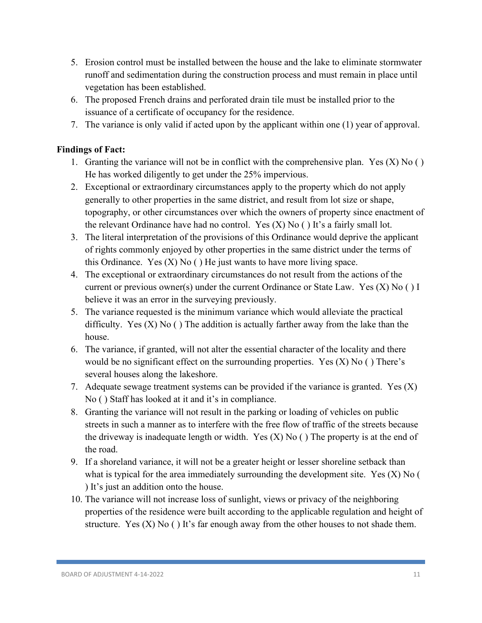- 5. Erosion control must be installed between the house and the lake to eliminate stormwater runoff and sedimentation during the construction process and must remain in place until vegetation has been established.
- 6. The proposed French drains and perforated drain tile must be installed prior to the issuance of a certificate of occupancy for the residence.
- 7. The variance is only valid if acted upon by the applicant within one (1) year of approval.

- 1. Granting the variance will not be in conflict with the comprehensive plan. Yes  $(X)$  No  $( )$ He has worked diligently to get under the 25% impervious.
- 2. Exceptional or extraordinary circumstances apply to the property which do not apply generally to other properties in the same district, and result from lot size or shape, topography, or other circumstances over which the owners of property since enactment of the relevant Ordinance have had no control. Yes  $(X)$  No  $( )$  It's a fairly small lot.
- 3. The literal interpretation of the provisions of this Ordinance would deprive the applicant of rights commonly enjoyed by other properties in the same district under the terms of this Ordinance. Yes  $(X)$  No  $( )$  He just wants to have more living space.
- 4. The exceptional or extraordinary circumstances do not result from the actions of the current or previous owner(s) under the current Ordinance or State Law. Yes  $(X)$  No  $( )$  I believe it was an error in the surveying previously.
- 5. The variance requested is the minimum variance which would alleviate the practical difficulty. Yes  $(X)$  No  $( )$  The addition is actually farther away from the lake than the house.
- 6. The variance, if granted, will not alter the essential character of the locality and there would be no significant effect on the surrounding properties. Yes  $(X)$  No () There's several houses along the lakeshore.
- 7. Adequate sewage treatment systems can be provided if the variance is granted. Yes  $(X)$ No ( ) Staff has looked at it and it's in compliance.
- 8. Granting the variance will not result in the parking or loading of vehicles on public streets in such a manner as to interfere with the free flow of traffic of the streets because the driveway is inadequate length or width. Yes  $(X)$  No  $($   $)$  The property is at the end of the road.
- 9. If a shoreland variance, it will not be a greater height or lesser shoreline setback than what is typical for the area immediately surrounding the development site. Yes  $(X)$  No  $($ ) It's just an addition onto the house.
- 10. The variance will not increase loss of sunlight, views or privacy of the neighboring properties of the residence were built according to the applicable regulation and height of structure. Yes  $(X)$  No  $( )$  It's far enough away from the other houses to not shade them.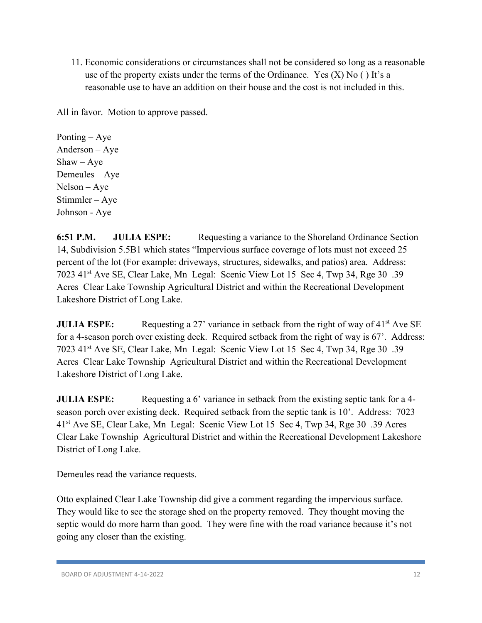11. Economic considerations or circumstances shall not be considered so long as a reasonable use of the property exists under the terms of the Ordinance. Yes  $(X)$  No  $( )$  It's a reasonable use to have an addition on their house and the cost is not included in this.

All in favor. Motion to approve passed.

Ponting – Aye Anderson – Aye  $Shaw - Aye$ Demeules – Aye Nelson – Aye Stimmler – Aye Johnson - Aye

**6:51 P.M. JULIA ESPE:** Requesting a variance to the Shoreland Ordinance Section 14, Subdivision 5.5B1 which states "Impervious surface coverage of lots must not exceed 25 percent of the lot (For example: driveways, structures, sidewalks, and patios) area. Address: 7023 41st Ave SE, Clear Lake, Mn Legal: Scenic View Lot 15 Sec 4, Twp 34, Rge 30 .39 Acres Clear Lake Township Agricultural District and within the Recreational Development Lakeshore District of Long Lake.

**JULIA ESPE:** Requesting a 27' variance in setback from the right of way of 41<sup>st</sup> Ave SE for a 4-season porch over existing deck. Required setback from the right of way is 67'. Address: 7023 41st Ave SE, Clear Lake, Mn Legal: Scenic View Lot 15 Sec 4, Twp 34, Rge 30 .39 Acres Clear Lake Township Agricultural District and within the Recreational Development Lakeshore District of Long Lake.

**JULIA ESPE:** Requesting a 6' variance in setback from the existing septic tank for a 4season porch over existing deck. Required setback from the septic tank is 10'. Address: 7023 41st Ave SE, Clear Lake, Mn Legal: Scenic View Lot 15 Sec 4, Twp 34, Rge 30 .39 Acres Clear Lake Township Agricultural District and within the Recreational Development Lakeshore District of Long Lake.

Demeules read the variance requests.

Otto explained Clear Lake Township did give a comment regarding the impervious surface. They would like to see the storage shed on the property removed. They thought moving the septic would do more harm than good. They were fine with the road variance because it's not going any closer than the existing.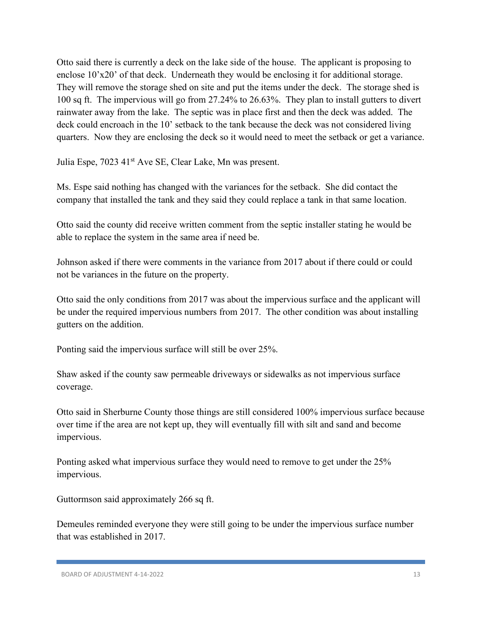Otto said there is currently a deck on the lake side of the house. The applicant is proposing to enclose 10'x20' of that deck. Underneath they would be enclosing it for additional storage. They will remove the storage shed on site and put the items under the deck. The storage shed is 100 sq ft. The impervious will go from 27.24% to 26.63%. They plan to install gutters to divert rainwater away from the lake. The septic was in place first and then the deck was added. The deck could encroach in the 10' setback to the tank because the deck was not considered living quarters. Now they are enclosing the deck so it would need to meet the setback or get a variance.

Julia Espe, 7023 41st Ave SE, Clear Lake, Mn was present.

Ms. Espe said nothing has changed with the variances for the setback. She did contact the company that installed the tank and they said they could replace a tank in that same location.

Otto said the county did receive written comment from the septic installer stating he would be able to replace the system in the same area if need be.

Johnson asked if there were comments in the variance from 2017 about if there could or could not be variances in the future on the property.

Otto said the only conditions from 2017 was about the impervious surface and the applicant will be under the required impervious numbers from 2017. The other condition was about installing gutters on the addition.

Ponting said the impervious surface will still be over 25%.

Shaw asked if the county saw permeable driveways or sidewalks as not impervious surface coverage.

Otto said in Sherburne County those things are still considered 100% impervious surface because over time if the area are not kept up, they will eventually fill with silt and sand and become impervious.

Ponting asked what impervious surface they would need to remove to get under the 25% impervious.

Guttormson said approximately 266 sq ft.

Demeules reminded everyone they were still going to be under the impervious surface number that was established in 2017.

BOARD OF ADJUSTMENT 4-14-2022 13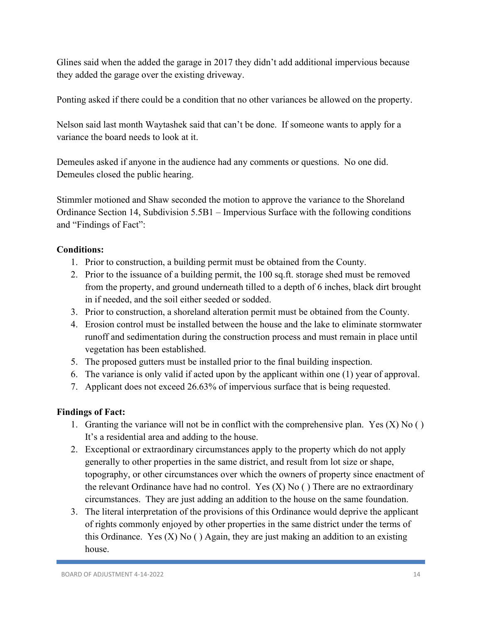Glines said when the added the garage in 2017 they didn't add additional impervious because they added the garage over the existing driveway.

Ponting asked if there could be a condition that no other variances be allowed on the property.

Nelson said last month Waytashek said that can't be done. If someone wants to apply for a variance the board needs to look at it.

Demeules asked if anyone in the audience had any comments or questions. No one did. Demeules closed the public hearing.

Stimmler motioned and Shaw seconded the motion to approve the variance to the Shoreland Ordinance Section 14, Subdivision 5.5B1 – Impervious Surface with the following conditions and "Findings of Fact":

# **Conditions:**

- 1. Prior to construction, a building permit must be obtained from the County.
- 2. Prior to the issuance of a building permit, the 100 sq.ft. storage shed must be removed from the property, and ground underneath tilled to a depth of 6 inches, black dirt brought in if needed, and the soil either seeded or sodded.
- 3. Prior to construction, a shoreland alteration permit must be obtained from the County.
- 4. Erosion control must be installed between the house and the lake to eliminate stormwater runoff and sedimentation during the construction process and must remain in place until vegetation has been established.
- 5. The proposed gutters must be installed prior to the final building inspection.
- 6. The variance is only valid if acted upon by the applicant within one (1) year of approval.
- 7. Applicant does not exceed 26.63% of impervious surface that is being requested.

- 1. Granting the variance will not be in conflict with the comprehensive plan. Yes  $(X)$  No  $( )$ It's a residential area and adding to the house.
- 2. Exceptional or extraordinary circumstances apply to the property which do not apply generally to other properties in the same district, and result from lot size or shape, topography, or other circumstances over which the owners of property since enactment of the relevant Ordinance have had no control. Yes  $(X)$  No () There are no extraordinary circumstances. They are just adding an addition to the house on the same foundation.
- 3. The literal interpretation of the provisions of this Ordinance would deprive the applicant of rights commonly enjoyed by other properties in the same district under the terms of this Ordinance. Yes  $(X)$  No  $( )$  Again, they are just making an addition to an existing house.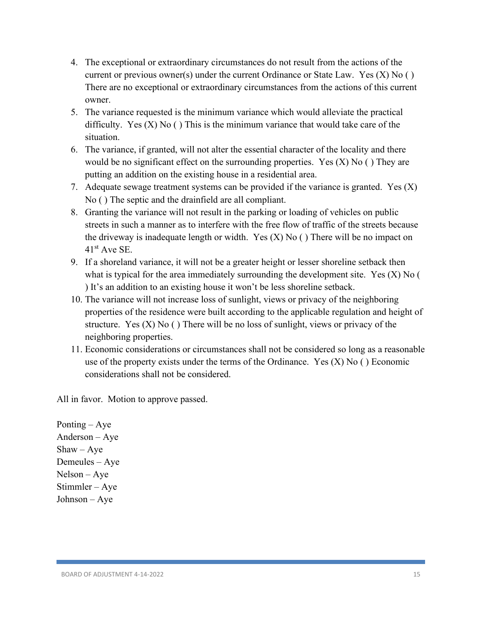- 4. The exceptional or extraordinary circumstances do not result from the actions of the current or previous owner(s) under the current Ordinance or State Law. Yes  $(X)$  No  $( )$ There are no exceptional or extraordinary circumstances from the actions of this current owner.
- 5. The variance requested is the minimum variance which would alleviate the practical difficulty. Yes  $(X)$  No () This is the minimum variance that would take care of the situation.
- 6. The variance, if granted, will not alter the essential character of the locality and there would be no significant effect on the surrounding properties. Yes  $(X)$  No  $( )$  They are putting an addition on the existing house in a residential area.
- 7. Adequate sewage treatment systems can be provided if the variance is granted. Yes  $(X)$ No ( ) The septic and the drainfield are all compliant.
- 8. Granting the variance will not result in the parking or loading of vehicles on public streets in such a manner as to interfere with the free flow of traffic of the streets because the driveway is inadequate length or width. Yes  $(X)$  No  $($ ) There will be no impact on 41st Ave SE.
- 9. If a shoreland variance, it will not be a greater height or lesser shoreline setback then what is typical for the area immediately surrounding the development site. Yes  $(X)$  No  $($ ) It's an addition to an existing house it won't be less shoreline setback.
- 10. The variance will not increase loss of sunlight, views or privacy of the neighboring properties of the residence were built according to the applicable regulation and height of structure. Yes  $(X)$  No  $( )$  There will be no loss of sunlight, views or privacy of the neighboring properties.
- 11. Economic considerations or circumstances shall not be considered so long as a reasonable use of the property exists under the terms of the Ordinance. Yes  $(X)$  No () Economic considerations shall not be considered.

Ponting – Aye Anderson – Aye  $Shaw - Aye$ Demeules – Aye Nelson – Aye Stimmler – Aye Johnson – Aye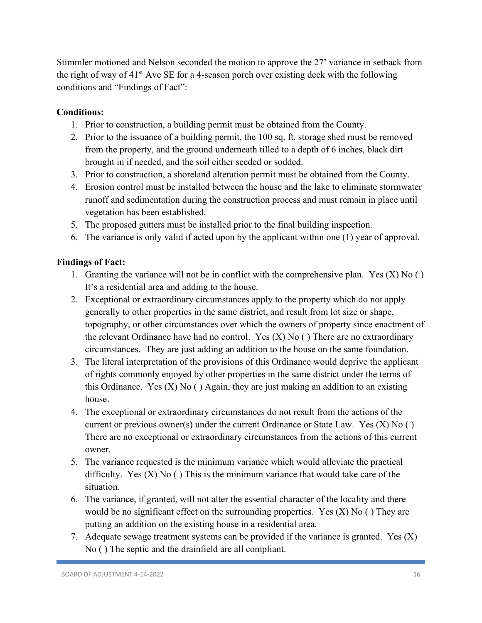Stimmler motioned and Nelson seconded the motion to approve the 27' variance in setback from the right of way of  $41<sup>st</sup>$  Ave SE for a 4-season porch over existing deck with the following conditions and "Findings of Fact":

## **Conditions:**

- 1. Prior to construction, a building permit must be obtained from the County.
- 2. Prior to the issuance of a building permit, the 100 sq. ft. storage shed must be removed from the property, and the ground underneath tilled to a depth of 6 inches, black dirt brought in if needed, and the soil either seeded or sodded.
- 3. Prior to construction, a shoreland alteration permit must be obtained from the County.
- 4. Erosion control must be installed between the house and the lake to eliminate stormwater runoff and sedimentation during the construction process and must remain in place until vegetation has been established.
- 5. The proposed gutters must be installed prior to the final building inspection.
- 6. The variance is only valid if acted upon by the applicant within one (1) year of approval.

- 1. Granting the variance will not be in conflict with the comprehensive plan. Yes  $(X)$  No  $( )$ It's a residential area and adding to the house.
- 2. Exceptional or extraordinary circumstances apply to the property which do not apply generally to other properties in the same district, and result from lot size or shape, topography, or other circumstances over which the owners of property since enactment of the relevant Ordinance have had no control. Yes  $(X)$  No () There are no extraordinary circumstances. They are just adding an addition to the house on the same foundation.
- 3. The literal interpretation of the provisions of this Ordinance would deprive the applicant of rights commonly enjoyed by other properties in the same district under the terms of this Ordinance. Yes  $(X)$  No  $($   $)$  Again, they are just making an addition to an existing house.
- 4. The exceptional or extraordinary circumstances do not result from the actions of the current or previous owner(s) under the current Ordinance or State Law. Yes  $(X)$  No  $( )$ There are no exceptional or extraordinary circumstances from the actions of this current owner.
- 5. The variance requested is the minimum variance which would alleviate the practical difficulty. Yes  $(X)$  No  $( )$  This is the minimum variance that would take care of the situation.
- 6. The variance, if granted, will not alter the essential character of the locality and there would be no significant effect on the surrounding properties. Yes  $(X)$  No () They are putting an addition on the existing house in a residential area.
- 7. Adequate sewage treatment systems can be provided if the variance is granted. Yes  $(X)$ No ( ) The septic and the drainfield are all compliant.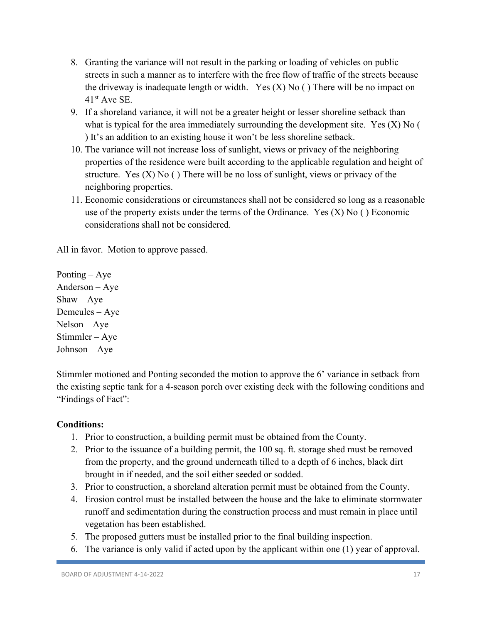- 8. Granting the variance will not result in the parking or loading of vehicles on public streets in such a manner as to interfere with the free flow of traffic of the streets because the driveway is inadequate length or width. Yes  $(X)$  No () There will be no impact on  $41<sup>st</sup>$  Ave SE.
- 9. If a shoreland variance, it will not be a greater height or lesser shoreline setback than what is typical for the area immediately surrounding the development site. Yes  $(X)$  No ( ) It's an addition to an existing house it won't be less shoreline setback.
- 10. The variance will not increase loss of sunlight, views or privacy of the neighboring properties of the residence were built according to the applicable regulation and height of structure. Yes  $(X)$  No  $( )$  There will be no loss of sunlight, views or privacy of the neighboring properties.
- 11. Economic considerations or circumstances shall not be considered so long as a reasonable use of the property exists under the terms of the Ordinance. Yes  $(X)$  No () Economic considerations shall not be considered.

Ponting – Aye Anderson – Aye  $Shaw - Aye$ Demeules – Aye Nelson – Aye Stimmler – Aye Johnson – Aye

Stimmler motioned and Ponting seconded the motion to approve the 6' variance in setback from the existing septic tank for a 4-season porch over existing deck with the following conditions and "Findings of Fact":

#### **Conditions:**

- 1. Prior to construction, a building permit must be obtained from the County.
- 2. Prior to the issuance of a building permit, the 100 sq. ft. storage shed must be removed from the property, and the ground underneath tilled to a depth of 6 inches, black dirt brought in if needed, and the soil either seeded or sodded.
- 3. Prior to construction, a shoreland alteration permit must be obtained from the County.
- 4. Erosion control must be installed between the house and the lake to eliminate stormwater runoff and sedimentation during the construction process and must remain in place until vegetation has been established.
- 5. The proposed gutters must be installed prior to the final building inspection.
- 6. The variance is only valid if acted upon by the applicant within one (1) year of approval.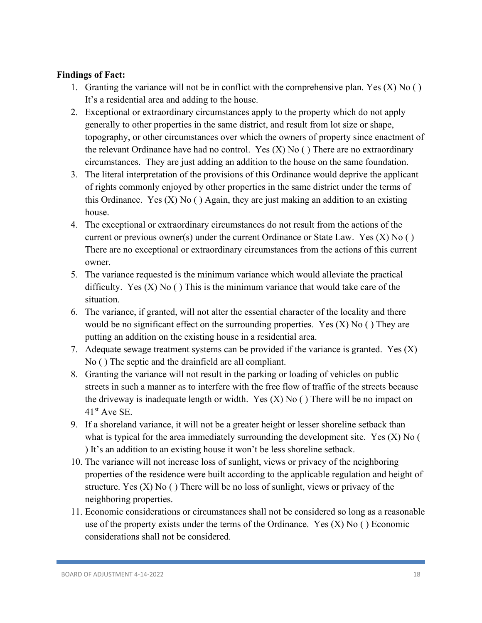- 1. Granting the variance will not be in conflict with the comprehensive plan. Yes  $(X)$  No  $( )$ It's a residential area and adding to the house.
- 2. Exceptional or extraordinary circumstances apply to the property which do not apply generally to other properties in the same district, and result from lot size or shape, topography, or other circumstances over which the owners of property since enactment of the relevant Ordinance have had no control. Yes  $(X)$  No () There are no extraordinary circumstances. They are just adding an addition to the house on the same foundation.
- 3. The literal interpretation of the provisions of this Ordinance would deprive the applicant of rights commonly enjoyed by other properties in the same district under the terms of this Ordinance. Yes  $(X)$  No  $($ ) Again, they are just making an addition to an existing house.
- 4. The exceptional or extraordinary circumstances do not result from the actions of the current or previous owner(s) under the current Ordinance or State Law. Yes  $(X)$  No  $( )$ There are no exceptional or extraordinary circumstances from the actions of this current owner.
- 5. The variance requested is the minimum variance which would alleviate the practical difficulty. Yes  $(X)$  No () This is the minimum variance that would take care of the situation.
- 6. The variance, if granted, will not alter the essential character of the locality and there would be no significant effect on the surrounding properties. Yes  $(X)$  No  $( )$  They are putting an addition on the existing house in a residential area.
- 7. Adequate sewage treatment systems can be provided if the variance is granted. Yes  $(X)$ No ( ) The septic and the drainfield are all compliant.
- 8. Granting the variance will not result in the parking or loading of vehicles on public streets in such a manner as to interfere with the free flow of traffic of the streets because the driveway is inadequate length or width. Yes  $(X)$  No  $($ ) There will be no impact on  $41<sup>st</sup>$  Ave SE.
- 9. If a shoreland variance, it will not be a greater height or lesser shoreline setback than what is typical for the area immediately surrounding the development site. Yes  $(X)$  No  $($ ) It's an addition to an existing house it won't be less shoreline setback.
- 10. The variance will not increase loss of sunlight, views or privacy of the neighboring properties of the residence were built according to the applicable regulation and height of structure. Yes  $(X)$  No  $( )$  There will be no loss of sunlight, views or privacy of the neighboring properties.
- 11. Economic considerations or circumstances shall not be considered so long as a reasonable use of the property exists under the terms of the Ordinance. Yes  $(X)$  No () Economic considerations shall not be considered.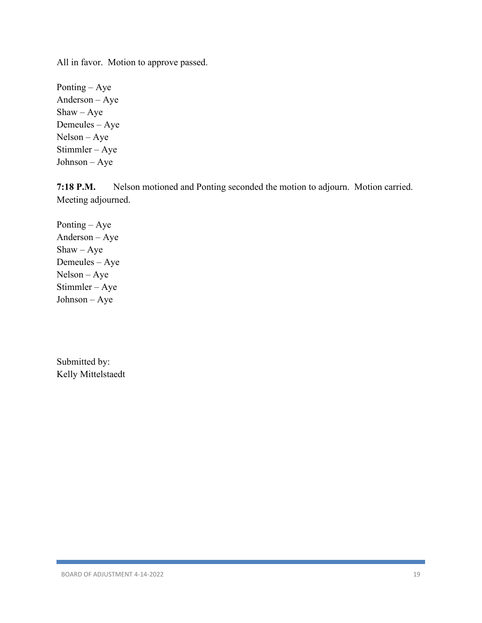Ponting – Aye Anderson – Aye Shaw – Aye Demeules – Aye Nelson – Aye Stimmler – Aye Johnson – Aye

**7:18 P.M.** Nelson motioned and Ponting seconded the motion to adjourn. Motion carried. Meeting adjourned.

Ponting – Aye Anderson – Aye  $Shaw - Aye$ Demeules – Aye Nelson – Aye Stimmler – Aye Johnson – Aye

Submitted by: Kelly Mittelstaedt